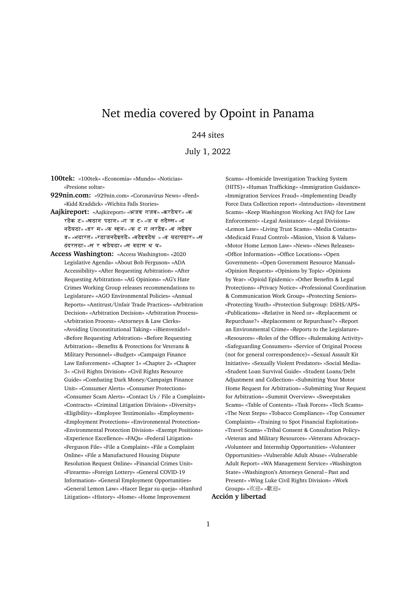# Net media covered by Opoint in Panama

# 244 sites

July 1, 2022

**100tek:** «100tek» «Economia» «Mundo» «Noticias» «Presione soltar»

- **929nin.com:** «929nin.com» «Coronavirus News» «Feed» «Kidd Kraddick» «Wichita Falls Stories»
- Aajkireport: «Aajkireport» «अजब गजब» «करठैयर» «क रठैक ट» «खठान पठान» «ग ज ट» «ज य तठैस्स» «द नठैयठा» «डर म» «फ स्हन» «फ ट ग लरठैइ» «ब लठैइव ड» «भठारत» «रठाजनठैइतठै» «वठैइडठैय » «व यठापठार» «स ठंदरतठा» «स र खठैयठा» «स वठास थ य»
- **Access Washington:** «Access Washington» «2020 Legislative Agenda» «About Bob Ferguson» «ADA Accessibility» «After Requesting Arbitration» «After Requesting Arbitration» «AG Opinions» «AG's Hate Crimes Working Group releases recommendations to Legislature» «AGO Environmental Policies» «Annual Reports» «Antitrust/Unfair Trade Practices» «Arbitration Decision» «Arbitration Decision» «Arbitration Process» «Arbitration Process» «Attorneys & Law Clerks» «Avoiding Unconstitutional Taking» «¡Bienvenido!» «Before Requesting Arbitration» «Before Requesting Arbitration» «Benefits & Protections for Veterans & Military Personnel» «Budget» «Campaign Finance Law Enforcement» «Chapter 1» «Chapter 2» «Chapter 3» «Civil Rights Division» «Civil Rights Resource Guide» «Combating Dark Money/Campaign Finance Unit» «Consumer Alerts» «Consumer Protections» «Consumer Scam Alerts» «Contact Us / File a Complaint» «Contracts» «Criminal Litigation Division» «Diversity» «Eligibility» «Employee Testimonials» «Employment» «Employment Protections» «Environmental Protection» «Environmental Protection Division» «Exempt Positions» «Experience Excellence» «FAQs» «Federal Litigation» «Ferguson File» «File a Complaint» «File a Complaint Online» «File a Manufactured Housing Dispute Resolution Request Online» «Financial Crimes Unit» «Firearms» «Foreign Lottery» «General COVID-19 Information» «General Employment Opportunities» «General Lemon Law» «Hacer llegar su queja» «Hanford Litigation» «History» «Home» «Home Improvement

Scams» «Homicide Investigation Tracking System (HITS)» «Human Trafficking» «Immigration Guidance» «Immigration Services Fraud» «Implementing Deadly Force Data Collection report» «Introduction» «Investment Scams» «Keep Washington Working Act FAQ for Law Enforcement» «Legal Assistance» «Legal Divisions» «Lemon Law» «Living Trust Scams» «Media Contacts» «Medicaid Fraud Control» «Mission, Vision & Values» «Motor Home Lemon Law» «News» «News Releases» «Office Information» «Office Locations» «Open Government» «Open Government Resource Manual» «Opinion Requests» «Opinions by Topic» «Opinions by Year» «Opioid Epidemic» «Other Benefits & Legal Protections» «Privacy Notice» «Professional Coordination & Communication Work Group» «Protecting Seniors» «Protecting Youth» «Protection Subgroup: DSHS/APS» «Publications» «Relative in Need or» «Replacement or Repurchase?» «Replacement or Repurchase?» «Report an Environmental Crime» «Reports to the Legislature» «Resources» «Roles of the Office» «Rulemaking Activity» «Safeguarding Consumers» «Service of Original Process (not for general correspondence)» «Sexual Assault Kit Initiative» «Sexually Violent Predators» «Social Media» «Student Loan Survival Guide» «Student Loans/Debt Adjustment and Collection» «Submitting Your Motor Home Request for Arbitration» «Submitting Your Request for Arbitration» «Summit Overview» «Sweepstakes Scams» «Table of Contents» «Task Forces» «Tech Scams» «The Next Steps» «Tobacco Compliance» «Top Consumer Complaints» «Training to Spot Financial Exploitation» «Travel Scams» «Tribal Consent & Consultation Policy» «Veteran and Military Resources» «Veterans Advocacy» «Volunteer and Internship Opportunities» «Volunteer Opportunities» «Vulnerable Adult Abuse» «Vulnerable Adult Report» «WA Management Service» «Washington State» «Washington's Attorneys General – Past and Present» «Wing Luke Civil Rights Division» «Work Groups» «欢迎» «歡迎»

## **Acción y libertad**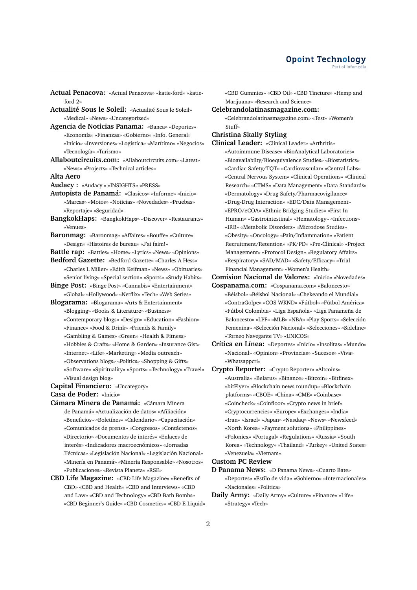- **Actual Penacova:** «Actual Penacova» «katie-ford» «katieford-2»
- **Actualité Sous le Soleil:** «Actualité Sous le Soleil» «Medical» «News» «Uncategorized»
- **Agencia de Noticias Panama:** «Banca» «Deportes» «Economía» «Finanzas» «Gobierno» «Info. General» «Inicio» «Inversiones» «Logística» «Marítimo» «Negocios» «Tecnología» «Turismo»
- **Allaboutcircuits.com:** «Allaboutcircuits.com» «Latest» «News» «Projects» «Technical articles»

**Alta Aero**

- **Audacy :** «Audacy » «INSIGHTS» «PRESS»
- **Autopista de Panamá:** «Clasicos» «Informe» «Inicio» «Marcas» «Motos» «Noticias» «Novedades» «Pruebas» «Reportaje» «Seguridad»
- **BangkokHaps:** «BangkokHaps» «Discover» «Restaurants» «Venues»
- **Baronmag:** «Baronmag» «Affaires» «Bouffe» «Culture» «Design» «Histoires de bureau» «J'ai faim!»
- **Battle rap:** «Battles» «Home» «Lyrics» «News» «Opinions»
- **Bedford Gazette:** «Bedford Gazette» «Charles A Hess» «Charles L Miller» «Edith Keifman» «News» «Obituaries» «Senior living» «Special section» «Sports» «Study Habits»
- **Binge Post:** «Binge Post» «Cannabis» «Entertainment» «Global» «Hollywood» «Netflix» «Tech» «Web Series»
- **Blogarama:** «Blogarama» «Arts & Entertainment» «Blogging» «Books & Literature» «Business» «Contemporary blogs» «Design» «Education» «Fashion»
	- «Finance» «Food & Drink» «Friends & Family»
	- «Gambling & Games» «Green» «Health & Fitness»
	- «Hobbies & Crafts» «Home & Garden» «Insurance Gist»
	- «Internet» «Life» «Marketing» «Media outreach» «Observations blogs» «Politics» «Shopping & Gifts»
	- «Software» «Spirituality» «Sports» «Technology» «Travel»
- «Visual design blog» **Capital Financiero:** «Uncategory»
- **Casa de Poder:** «Inicio»
- **Cámara Minera de Panamá:** «Cámara Minera de Panamá» «Actualización de datos» «Afiliación» «Beneficios» «Boletínes» «Calendario» «Capacitación» «Comunicados de prensa» «Congresos» «Contáctenos» «Directorio» «Documentos de interés» «Enlaces de interés» «Indicadores macroecnómicos» «Jornadas Técnicas» «Legislación Nacional» «Legislación Nacional» «Minería en Panamá» «Minería Responsable» «Nosotros» «Publicaciones» «Revista Planeta» «RSE»
- **CBD Life Magazine:** «CBD Life Magazine» «Benefits of CBD» «CBD and Health» «CBD and Interviews» «CBD and Law» «CBD and Technology» «CBD Bath Bombs» «CBD Beginner's Guide» «CBD Cosmetics» «CBD E-Liquid»

«CBD Gummies» «CBD Oil» «CBD Tincture» «Hemp and Marijuana» «Research and Science»

#### **Celebrandolatinasmagazine.com:**

«Celebrandolatinasmagazine.com» «Test» «Women's Stuff»

### **Christina Skally Styling**

**Clinical Leader:** «Clinical Leader» «Arthritis» «Autoimmune Disease» «BioAnalytical Laboratories» «Bioavailabilty/Bioequivalence Studies» «Biostatistics» «Cardiac Safety/TQT» «Cardiovascular» «Central Labs» «Central Nervous System» «Clinical Operations» «Clinical Research» «CTMS» «Data Management» «Data Standards» «Dermatology» «Drug Safety/Pharmacovigilance» «Drug-Drug Interaction» «EDC/Data Management» «EPRO/eCOA» «Ethnic Bridging Studies» «First In Human» «Gastrointestinal» «Hematology» «Infections» «IRB» «Metabolic Disorders» «Microdose Studies» «Obesity» «Oncology» «Pain/Inflammation» «Patient Recruitment/Retention» «PK/PD» «Pre-Clinical» «Project Management» «Protocol Design» «Regulatory Affairs» «Respiratory» «SAD/MAD» «Safety/Efficacy» «Trial Financial Management» «Women's Health»

**Comision Nacional de Valores:** «Inicio» «Novedades»

**Cospanama.com:** «Cospanama.com» «Baloncesto» «Béisbol» «Béisbol Nacional» «Chekeando el Mundial» «ContraGolpe» «COS WKND» «Fútbol» «Fútbol América» «Fútbol Colombia» «Liga Española» «Liga Panameña de Baloncesto» «LPF» «MLB» «NBA» «Play Sports» «Selección Femenina» «Selección Nacional» «Selecciones» «Sideline» «Torneo Navegante TV» «UNICOS»

**Crítica en Línea:** «Deportes» «Inicio» «Insolitas» «Mundo» «Nacional» «Opinion» «Provincias» «Sucesos» «Viva» «Whatsappcri»

**Crypto Reporter:** «Crypto Reporter» «Altcoins» «Australia» «Belarus» «Binance» «Bitcoin» «Bitfinex» «bitFlyer» «Blockchain news roundup» «Blockchain platforms» «CBOE» «China» «CME» «Coinbase» «Coincheck» «Coinfloor» «Crypto news in brief» «Cryptocurrencies» «Europe» «Exchanges» «India» «Iran» «Israel» «Japan» «Nasdaq» «News» «Newsfeed» «North Korea» «Payment solutions» «Philippines» «Poloniex» «Portugal» «Regulations» «Russia» «South Korea» «Technology» «Thailand» «Turkey» «United States» «Venezuela» «Vietnam»

#### **Custom PC Review**

- **D Panama News:** «D Panama News» «Cuarto Bate» «Deportes» «Estilo de vida» «Gobierno» «Internacionales» «Nacionales» «Politica»
- **Daily Army:** «Daily Army» «Culture» «Finance» «Life» «Strategy» «Tech»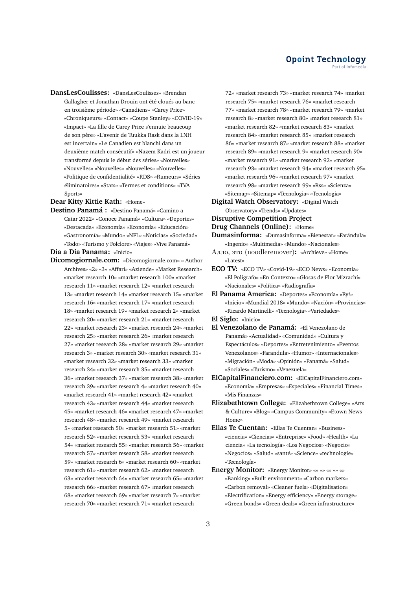**DansLesCoulisses:** «DansLesCoulisses» «Brendan Gallagher et Jonathan Drouin ont été cloués au banc en troisième période» «Canadiens» «Carey Price» «Chroniqueurs» «Contact» «Coupe Stanley» «COVID-19» «Impact» «La fille de Carey Price s'ennuie beaucoup de son père» «L'avenir de Tuukka Rask dans la LNH est incertain» «Le Canadien est blanchi dans un deuxième match consécutif» «Nazem Kadri est un joueur transformé depuis le début des séries» «Nouvelles» «Nouvelles» «Nouvelles» «Nouvelles» «Nouvelles» «Politique de confidentialité» «RDS» «Rumeurs» «Séries éliminatoires» «Stats» «Termes et conditions» «TVA Sports»

**Dear Kitty Kittie Kath:** «Home»

**Destino Panamá :** «Destino Panamá» «Camino a Catar 2022» «Conoce Panamá» «Cultura» «Deportes» «Destacada» «Economía» «Economía» «Educación» «Gastronomía» «Mundo» «NFL» «Noticias» «Sociedad» «Todo» «Turismo y Folclore» «Viajes» «Vive Panamá»

**Dia a Dia Panama:** «Inicio»

**Dicomogiornale.com:** «Dicomogiornale.com» « Author Archives» «2» «3» «Affari» «Aziende» «Market Research» «market research 10» «market research 100» «market research 11» «market research 12» «market research 13» «market research 14» «market research 15» «market research 16» «market research 17» «market research 18» «market research 19» «market research 2» «market research 20» «market research 21» «market research 22» «market research 23» «market research 24» «market research 25» «market research 26» «market research 27» «market research 28» «market research 29» «market research 3» «market research 30» «market research 31» «market research 32» «market research 33» «market research 34» «market research 35» «market research 36» «market research 37» «market research 38» «market research 39» «market research 4» «market research 40» «market research 41» «market research 42» «market research 43» «market research 44» «market research 45» «market research 46» «market research 47» «market research 48» «market research 49» «market research 5» «market research 50» «market research 51» «market research 52» «market research 53» «market research 54» «market research 55» «market research 56» «market research 57» «market research 58» «market research 59» «market research 6» «market research 60» «market research 61» «market research 62» «market research 63» «market research 64» «market research 65» «market research 66» «market research 67» «market research 68» «market research 69» «market research 7» «market research 70» «market research 71» «market research

72» «market research 73» «market research 74» «market research 75» «market research 76» «market research 77» «market research 78» «market research 79» «market research 8» «market research 80» «market research 81» «market research 82» «market research 83» «market research 84» «market research 85» «market research 86» «market research 87» «market research 88» «market research 89» «market research 9» «market research 90» «market research 91» «market research 92» «market research 93» «market research 94» «market research 95» «market research 96» «market research 97» «market research 98» «market research 99» «Rss» «Scienza» «Sitemap» «Sitemap» «Tecnologia» «Tecnologia»

**Digital Watch Observatory:** «Digital Watch Observatory» «Trends» «Updates»

#### **Disruptive Competition Project**

#### **Drug Channels (Online):** «Home»

- **Dumasinforma:** «Dumasinforma» «Bienestar» «Farándula» «Ingenio» «Multimedia» «Mundo» «Nacionales»
- Алло, это (noodleremover)**:** «Archieve» «Home» «Latest»
- **ECO TV:** «ECO TV» «Covid-19» «ECO News» «Economía» «El Polígrafo» «En Contexto» «Glosas de Flor Mizrachi» «Nacionales» «Política» «Radiografía»
- **El Panama America:** «Deportes» «Economía» «Ey!» «Inicio» «Mundial 2018» «Mundo» «Nación» «Provincias» «Ricardo Martinelli» «Tecnologia» «Variedades»
- **El Siglo:** «Inicio»
- **El Venezolano de Panamá:** «El Venezolano de Panamá» «Actualidad» «Comunidad» «Cultura y Espectáculos» «Deportes» «Entretenimiento» «Eventos Venezolanos» «Farandula» «Humor» «Internacionales» «Migración» «Moda» «Opinión» «Panamá» «Salud» «Sociales» «Turismo» «Venezuela»
- **ElCapitalFinanciero.com:** «ElCapitalFinanciero.com» «Economía» «Empresas» «Especiales» «Financial Times» «Mis Finanzas»
- **Elizabethtown College:** «Elizabethtown College» «Arts & Culture» «Blog» «Campus Community» «Etown News Home»
- **Ellas Te Cuentan:** «Ellas Te Cuentan» «Business» «ciencia» «Ciencias» «Entreprise» «Food» «Health» «La ciencia» «La tecnología» «Los Negocios» «Negocio» «Negocios» «Salud» «santé» «Science» «technologie» «Tecnología»
- **Energy Monitor:** «Energy Monitor» «» «» «» «» «» «Banking» «Built environment» «Carbon markets» «Carbon removal» «Cleaner fuels» «Digitalisation» «Electrification» «Energy efficiency» «Energy storage» «Green bonds» «Green deals» «Green infrastructure»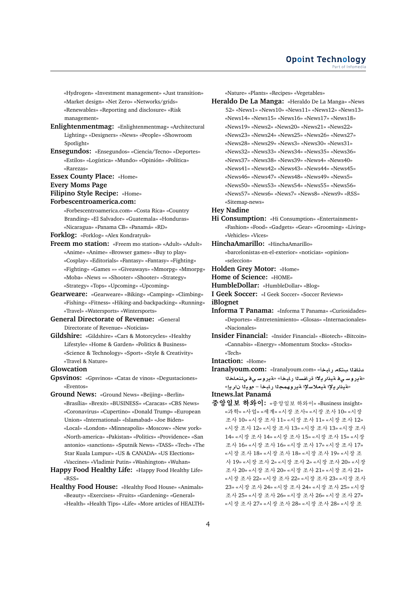«Hydrogen» «Investment management» «Just transition» «Market design» «Net Zero» «Networks/grids» «Renewables» «Reporting and disclosure» «Risk management»

- **Enlightenmentmag:** «Enlightenmentmag» «Architectural Lighting» «Designers» «News» «People» «Showroom Spotlight»
- **Ensegundos:** «Ensegundos» «Ciencia/Tecno» «Deportes» «Estilos» «Logística» «Mundo» «Opinión» «Política» «Rarezas»

**Essex County Place:** «Home»

**Every Moms Page**

**Filipino Style Recipe:** «Home»

#### **Forbescentroamerica.com:**

«Forbescentroamerica.com» «Costa Rica» «Country Branding» «El Salvador» «Guatemala» «Honduras» «Nicaragua» «Panama CB» «Panamá» «RD»

**Forklog:** «Forklog» «Alex Kondratyuk»

- **Freem mo station:** «Freem mo station» «Adult» «Adult» «Anime» «Anime» «Browser games» «Buy to play» «Cosplay» «Editorials» «Fantasy» «Fantasy» «Fighting» «Fighting» «Games »» «Giveaways» «Mmorpg» «Mmorpg» «Moba» «News »» «Shooter» «Shooter» «Strategy» «Strategy» «Tops» «Upcoming» «Upcoming»
- **Gearweare:** «Gearweare» «Biking» «Camping» «Climbing» «Fishing» «Fitness» «Hiking-and-backpacking» «Running» «Travel» «Watersports» «Wintersports»
- **General Directorate of Revenue:** «General Directorate of Revenue» «Noticias»
- **Gildshire:** «Gildshire» «Cars & Motorcycles» «Healthy Lifestyle» «Home & Garden» «Politics & Business» «Science & Technology» «Sport» «Style & Creativity» «Travel & Nature»

#### **Glowcation**

**Gpsvinos:** «Gpsvinos» «Catas de vinos» «Degustaciones» «Eventos»

**Ground News:** «Ground News» «Beijing» «Berlin» «Brasília» «Brexit» «BUSINESS» «Caracas» «CBS News» «Coronavirus» «Cupertino» «Donald Trump» «European Union» «International» «Islamabad» «Joe Biden» «Local» «London» «Minneapolis» «Moscow» «New york» «North-america» «Pakistan» «Politics» «Providence» «San antonio» «sanctions» «Sputnik News» «TASS» «Tech» «The Star Kuala Lumpur» «US & CANADA» «US Elections» «Vaccines» «Vladimir Putin» «Washington» «Wuhan»

- **Happy Food Healthy Life:** «Happy Food Healthy Life» «RSS»
- **Healthy Food House:** «Healthy Food House» «Animals» «Beauty» «Exercises» «Fruits» «Gardening» «General» «Health» «Health Tips» «Life» «More articles of HEALTH»

«Nature» «Plants» «Recipes» «Vegetables»

**Heraldo De La Manga:** «Heraldo De La Manga» «News 52» «News1» «News10» «News11» «News12» «News13» «News14» «News15» «News16» «News17» «News18» «News19» «News2» «News20» «News21» «News22» «News23» «News24» «News25» «News26» «News27» «News28» «News29» «News3» «News30» «News31» «News32» «News33» «News34» «News35» «News36» «News37» «News38» «News39» «News4» «News40» «News41» «News42» «News43» «News44» «News45» «News46» «News47» «News48» «News49» «News5» «News50» «News53» «News54» «News55» «News56» «News57» «News6» «News7» «News8» «News9» «RSS» «Sitemap-news»

#### **Hey Nadine**

- **Hi Consumption:** «Hi Consumption» «Entertainment» «Fashion» «Food» «Gadgets» «Gear» «Grooming» «Living» «Vehicles» «Vices»
- **HinchaAmarillo:** «HinchaAmarillo»
	- «barcelonistas-en-el-exterior» «noticias» «opinion» «seleccion»
- **Holden Grey Motor:** «Home»
- **Home of Science:** «HOME»
- **HumbleDollar:** «HumbleDollar» «Blog»

**I Geek Soccer:** «I Geek Soccer» «Soccer Reviews»

**iBlognet**

- **Informa T Panama:** «Informa T Panama» «Curiosidades» «Deportes» «Entretenimiento» «Glosas» «Internacionales» «Nacionales»
- **Insider Financial:** «Insider Financial» «Biotech» «Bitcoin» «Cannabis» «Energy» «Momentum Stocks» «Stocks» «Tech»

**Intaction:** «Home»

**Iranalyoum.com:** «Iranalyoum.com» المناقلا المتكام رااباخا «**Äيروسي فـه ينار يـلاا قرافسـنا ر**ابـخاْ» «قيروسـي فـي.*ئـذم*اخـنا «**قيذار يـلإا ةيملاسلإا ةيرو**همجلا ر.ابخأ – مويـلا نار ياٍ»

**Itnews.lat Panamá**

중앙일보 하와이**:** «중앙일보 하와이» «Business insight» «과학» «사업» «세계» «시장 조사» «시장 조사 10» «시장 조사 10» «시장 조사 11» «시장 조사 11» «시장 조사 12» «시장 조사 12» «시장 조사 13» «시장 조사 13» «시장 조사 14» «시장 조사 14» «시장 조사 15» «시장 조사 15» «시장 조사 16» «시장 조사 16» «시장 조사 17» «시장 조사 17» «시장 조사 18» «시장 조사 18» «시장 조사 19» «시장 조 사 19» «시장 조사 2» «시장 조사 2» «시장 조사 20» «시장 조사 20» «시장 조사 20» «시장 조사 21» «시장 조사 21» «시장 조사 22» «시장 조사 22» «시장 조사 23» «시장 조사 23» «시장 조사 24» «시장 조사 24» «시장 조사 25» «시장 조사 25» «시장 조사 26» «시장 조사 26» «시장 조사 27» «시장 조사 27» «시장 조사 28» «시장 조사 28» «시장 조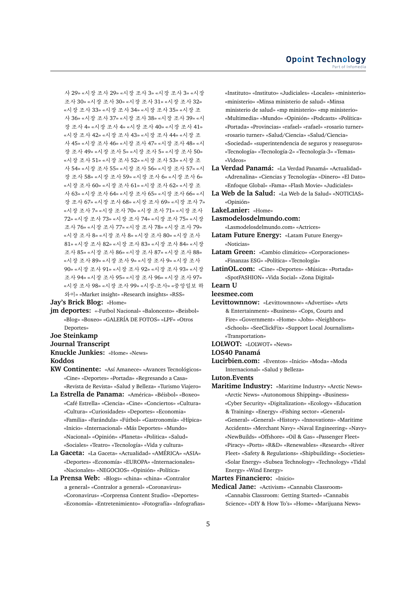사 29» «시장 조사 29» «시장 조사 3» «시장 조사 3» «시장 조사 30» «시장 조사 30» «시장 조사 31» «시장 조사 32» «시장 조사 33» «시장 조사 34» «시장 조사 35» «시장 조 사 36» «시장 조사 37» «시장 조사 38» «시장 조사 39» «시 장 조사 4» «시장 조사 4» «시장 조사 40» «시장 조사 41» «시장 조사 42» «시장 조사 43» «시장 조사 44» «시장 조 사 45» «시장 조사 46» «시장 조사 47» «시장 조사 48» «시 장 조사 49» «시장 조사 5» «시장 조사 5» «시장 조사 50» «시장 조사 51» «시장 조사 52» «시장 조사 53» «시장 조 사 54» «시장 조사 55» «시장 조사 56» «시장 조사 57» «시 장 조사 58» «시장 조사 59» «시장 조사 6» «시장 조사 6» «시장 조사 60» «시장 조사 61» «시장 조사 62» «시장 조 사 63» «시장 조사 64» «시장 조사 65» «시장 조사 66» «시 장 조사 67» «시장 조사 68» «시장 조사 69» «시장 조사 7» «시장 조사 7» «시장 조사 70» «시장 조사 71» «시장 조사 72» «시장 조사 73» «시장 조사 74» «시장 조사 75» «시장 조사 76» «시장 조사 77» «시장 조사 78» «시장 조사 79» «시장 조사 8» «시장 조사 8» «시장 조사 80» «시장 조사 81» «시장 조사 82» «시장 조사 83» «시장 조사 84» «시장 조사 85» «시장 조사 86» «시장 조사 87» «시장 조사 88» «시장 조사 89» «시장 조사 9» «시장 조사 9» «시장 조사 90» «시장 조사 91» «시장 조사 92» «시장 조사 93» «시장 조사 94» «시장 조사 95» «시장 조사 96» «시장 조사 97» «시장 조사 98» «시장 조사 99» «시장-조사» «중앙일보 하 와이» «Market insight» «Research insights» «RSS»

**Jay's Brick Blog:** «Home»

**jm deportes:** «-Futbol Nacional» «Baloncesto» «Beisbol» «Blog» «Boxeo» «GALERÍA DE FOTOS» «LPF» «Otros Deportes»

#### **Joe Steinkamp**

**Journal Transcript**

#### **Knuckle Junkies:** «Home» «News»

**Koddos**

- **KW Continente:** «Así Amanece» «Avances Tecnológicos» «Cine» «Deportes» «Portada» «Regresando a Casa» «Revista de Revista» «Salud y Belleza» «Turismo Viajero»
- **La Estrella de Panama:** «América» «Béisbol» «Boxeo» «Café Estrella» «Ciencia» «Cine» «Conciertos» «Cultura» «Cultura» «Curiosidades» «Deportes» «Economia» «Familia» «Farándula» «Fútbol» «Gastronomía» «Hípica» «Inicio» «Internacional» «Más Deportes» «Mundo» «Nacional» «Opinión» «Planeta» «Politica» «Salud» «Sociales» «Teatro» «Tecnología» «Vida y cultura»
- **La Gaceta:** «La Gaceta» «Actualidad» «AMÉRICA» «ASIA» «Deportes» «Economía» «EUROPA» «Internacionales» «Nacionales» «NEGOCIOS» «Opinión» «Política»
- **La Prensa Web:** «Blogs» «china» «china» «Contralor a general» «Contralor a general» «Coronavirus» «Coronavirus» «Corprensa Content Studio» «Deportes» «Economía» «Entretenimiento» «Fotografía» «Infografias»

«Instituto» «Instituto» «Judiciales» «Locales» «ministerio» «ministerio» «Minsa ministerio de salud» «Minsa ministerio de salud» «mp ministerio» «mp ministerio» «Multimedia» «Mundo» «Opinión» «Podcasts» «Política» «Portada» «Provincias» «rafael» «rafael» «rosario turner» «rosario turner» «Salud/Ciencia» «Salud/Ciencia» «Sociedad» «superintendencia de seguros y reaseguros» «Tecnología» «Tecnología-2» «Tecnología-3» «Temas» «Videos»

**La Verdad Panamá:** «La Verdad Panamá» «Actualidad» «Adrenalina» «Ciencias y Tecnología» «Dinero» «El Dato» «Enfoque Global» «Fama» «Flash Movie» «Judiciales»

**La Web de la Salud:** «La Web de la Salud» «NOTICIAS» «Opinión»

**LakeLanier:** «Home»

#### **Lasmodelosdelmundo.com:**

«Lasmodelosdelmundo.com» «Actrices»

- **Latam Future Energy:** «Latam Future Energy» «Noticias»
- **Latam Green:** «Cambio climático» «Corporaciones» «Finanzas ESG» «Política» «Tecnología»
- **LatinOL.com:** «Cine» «Deportes» «Música» «Portada» «SpotFASHION» «Vida Social» «Zona Digital»

**Learn U**

**leesmee.com**

**Levittownnow:** «Levittownnow» «Advertise» «Arts & Entertainment» «Business» «Cops, Courts and Fire» «Government» «Home» «Jobs» «Neighbors» «Schools» «SeeClickFix» «Support Local Journalism» «Transportation»

#### **LOLWOT:** «LOLWOT» «News»

- **LOS40 Panamá**
- **Lucirbien.com:** «Eventos» «Inicio» «Moda» «Moda Internacional» «Salud y Belleza»

**Luton.Events**

**Maritime Industry:** «Maritime Industry» «Arctic News» «Arctic News» «Autonomous Shipping» «Business» «Cyber Security» «Digitalization» «Ecology» «Education & Training» «Energy» «Fishing sector» «General» «General» «General» «History» «Innovations» «Maritime Accidents» «Merchant Navy» «Naval Engineering» «Navy» «NewBuilds» «Offshore» «Oil & Gas» «Passenger Fleet» «Piracy» «Ports» «R&D» «Renewables» «Research» «River Fleet» «Safety & Regulations» «Shipbuilding» «Societies» «Solar Energy» «Subsea Technology» «Technology» «Tidal Energy» «Wind Energy»

**Martes Financiero:** «Inicio»

**Medical Jane:** «Activism» «Cannabis Classroom» «Cannabis Classroom: Getting Started» «Cannabis Science» «DIY & How To's» «Home» «Marijuana News»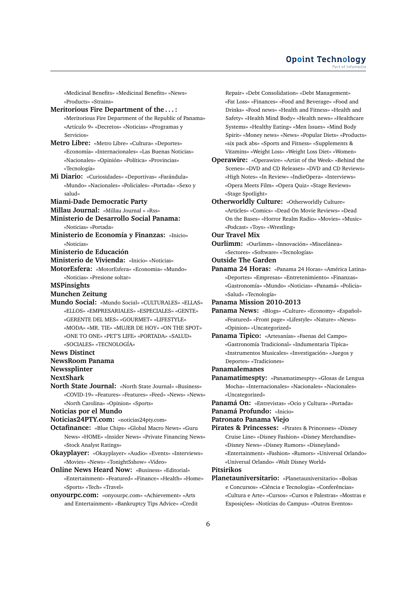#### **Opoint Technology** Part of Infomer

«Medicinal Benefits» «Medicinal Benefits» «News» «Products» «Strains»

- **Meritorious Fire Department of the . . . :** «Meritorious Fire Department of the Republic of Panama» «Artículo 9» «Decretos» «Noticias» «Programas y Servicios»
- **Metro Libre:** «Metro Libre» «Cultura» «Deportes» «Economía» «Internacionales» «Las Buenas Noticias» «Nacionales» «Opinión» «Política» «Provincias» «Tecnología»
- **Mi Diario:** «Curiosidades» «Deportivas» «Farándula» «Mundo» «Nacionales» «Policiales» «Portada» «Sexo y salud»
- **Miami-Dade Democratic Party**
- **Millau Journal:** «Millau Journal » «Rss»
- **Ministerio de Desarrollo Social Panama:** «Noticias» «Portada»
- **Ministerio de Economía y Finanzas:** «Inicio» «Noticias»
- **Ministerio de Educación**
- **Ministerio de Vivienda:** «Inicio» «Noticias»
- **MotorEsfera:** «MotorEsfera» «Economia» «Mundo» «Noticias» «Presione soltar»
- **MSPinsights**
- **Munchen Zeitung**
- **Mundo Social:** «Mundo Social» «CULTURALES» «ELLAS» «ELLOS» «EMPRESARIALES» «ESPECIALES» «GENTE» «GERENTE DEL MES» «GOURMET» «LIFESTYLE» «MODA» «MR. TIE» «MUJER DE HOY» «ON THE SPOT» «ONE TO ONE» «PET'S LIFE» «PORTADA» «SALUD» «SOCIALES» «TECNOLOGÍA»

#### **News Distinct**

- **NewsRoom Panama**
- **Newssplinter**
- **NextShark**
- **North State Journal:** «North State Journal» «Business» «COVID-19» «Features» «Features» «Feed» «News» «News» «North Carolina» «Opinion» «Sports»
- **Noticias por el Mundo**
- **Noticias24PTY.com:** «noticias24pty.com»
- **Octafinance:** «Blue Chips» «Global Macro News» «Guru News» «HOME» «Insider News» «Private Financing News» «Stock Analyst Ratings»
- **Okayplayer:** «Okayplayer» «Audio» «Events» «Interviews» «Movies» «News» «TonightSshow» «Video»
- **Online News Heard Now:** «Business» «Editorial» «Entertainment» «Featured» «Finance» «Health» «Home» «Sports» «Tech» «Travel»
- **onyourpc.com:** «onyourpc.com» «Achievement» «Arts and Entertainment» «Bankruptcy Tips Advice» «Credit

Repair» «Debt Consolidation» «Debt Management» «Fat Loss» «Finances» «Food and Beverage» «Food and Drinks» «Food news» «Health and Fitness» «Health and Safety» «Health Mind Body» «Health news» «Healthcare Systems» «Healthy Eating» «Men Issues» «Mind Body Spirit» «Money news» «News» «Popular Diets» «Products» «six pack abs» «Sports and Fitness» «Supplements & Vitamins» «Weight Loss» «Weight Loss Diet» «Women»

- **Operawire:** «Operawire» «Artist of the Week» «Behind the Scenes» «DVD and CD Releases» «DVD and CD Reviews» «High Notes» «In Review» «IndieOpera» «Interviews» «Opera Meets Film» «Opera Quiz» «Stage Reviews» «Stage Spotlight»
- **Otherworldly Culture:** «Otherworldly Culture» «Articles» «Comics» «Dead On Movie Reviews» «Dead On the Bases» «Horror Realm Radio» «Movies» «Music» «Podcast» «Toys» «Wrestling»
- **Our Travel Mix**
- **Ourlimm:** «Ourlimm» «Innovación» «Miscelánea» «Sectores» «Software» «Tecnologías»
- **Outside The Garden**
- **Panama 24 Horas:** «Panama 24 Horas» «América Latina» «Deportes» «Empresas» «Entretenimiento» «Finanzas» «Gastronomía» «Mundo» «Noticias» «Panamá» «Policia» «Salud» «Tecnología»
- **Panama Mission 2010-2013**
- **Panama News:** «Blogs» «Culture» «Economy» «Español» «Featured» «Front page» «Lifestyle» «Nature» «News» «Opinion» «Uncategorized»
- **Panama Tipico:** «Artesanías» «Faenas del Campo» «Gastronomía Tradicional» «Indumentaria Típica» «Instrumentos Musicales» «Investigación» «Juegos y Deportes» «Tradiciones»
- **Panamalemanes**
- **Panamatimespty:** «Panamatimespty» «Glosas de Lengua Mocha» «Internacionales» «Nacionales» «Nacionales» «Uncategorized»
- **Panamá On:** «Entrevistas» «Ocio y Cultura» «Portada»
- **Panamá Profundo:** «Inicio»
- **Patronato Panama Viejo**
- **Pirates & Princesses:** «Pirates & Princesses» «Disney Cruise Line» «Disney Fashion» «Disney Merchandise» «Disney News» «Disney Rumors» «Disneyland» «Entertainment» «Fashion» «Rumors» «Universal Orlando» «Universal Orlando» «Walt Disney World»

# **Pitsirikos**

**Planetauniversitario:** «Planetauniversitario» «Bolsas e Concursos» «Ciência e Tecnologia» «Conferências» «Cultura e Arte» «Cursos» «Cursos e Palestras» «Mostras e Exposições» «Notícias do Campus» «Outros Eventos»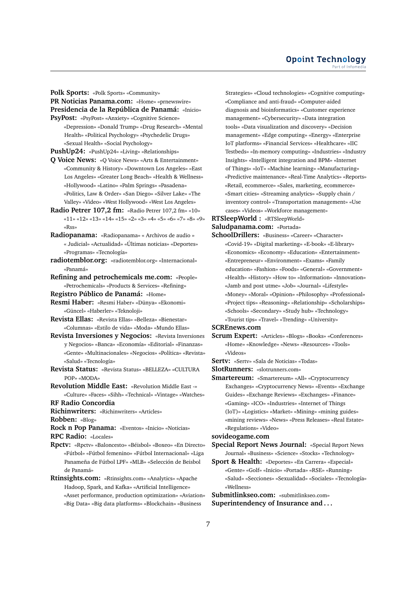**Polk Sports:** «Polk Sports» «Community»

**PR Noticias Panama.com:** «Home» «prnewswire» **Presidencia de la República de Panamá:** «Inicio»

**PsyPost:** «PsyPost» «Anxiety» «Cognitive Science» «Depression» «Donald Trump» «Drug Research» «Mental Health» «Political Psychology» «Psychedelic Drugs» «Sexual Health» «Social Psychology»

**PushUp24:** «PushUp24» «Living» «Relationships»

- **Q Voice News:** «Q Voice News» «Arts & Entertainment» «Community & History» «Downtown Los Angeles» «East Los Angeles» «Greater Long Beach» «Health & Wellness» «Hollywood» «Latino» «Palm Springs» «Pasadena» «Politics, Law & Order» «San Diego» «Silver Lake» «The Valley» «Video» «West Hollywood» «West Los Angeles»
- **Radio Petrer 107,2 fm:** «Radio Petrer 107,2 fm» «10» «11» «12» «13» «14» «15» «2» «3» «4» «5» «6» «7» «8» «9» «Rss»
- **Radiopanama:** «Radiopanama» « Archivos de audio » « Judicial» «Actualidad» «Últimas noticias» «Deportes» «Programas» «Tecnología»
- **radiotemblor.org:** «radiotemblor.org» «Internacional» «Panamá»
- **Refining and petrochemicals me.com:** «People» «Petrochemicals» «Products & Services» «Refining»
- **Registro Público de Panamá:** «Home»
- **Resmi Haber:** «Resmi Haber» «Dünya» «Ekonomi» «Güncel» «Haberler» «Teknoloji»
- **Revista Ellas:** «Revista Ellas» «Belleza» «Bienestar» «Columnas» «Estilo de vida» «Moda» «Mundo Ellas»
- **Revista Inversiones y Negocios:** «Revista Inversiones y Negocios» «Banca» «Economía» «Editorial» «Finanzas» «Gente» «Multinacionales» «Negocios» «Política» «Revista» «Salud» «Tecnología»
- **Revista Status:** «Revista Status» «BELLEZA» «CULTURA POP» «MODA»
- **Revolution Middle East:** «Revolution Middle East -» «Culture» «Faces» «Sihh» «Technical» «Vintage» «Watches»

**RF Radio Concordia**

**Richinwriters:** «Richinwriters» «Articles»

**Robben:** «Blog»

**Rock n Pop Panama:** «Eventos» «Inicio» «Noticias» **RPC Radio:** «Locales»

- **Rpctv:** «Rpctv» «Baloncesto» «Béisbol» «Boxeo» «En Directo» «Fútbol» «Fútbol femenino» «Fútbol Internacional» «Liga Panameña de Fútbol LPF» «MLB» «Selección de Beisbol de Panamá»
- **Rtinsights.com:** «Rtinsights.com» «Analytics» «Apache Hadoop, Spark, and Kafka» «Artificial Intelligence» «Asset performance, production optimization» «Aviation» «Big Data» «Big data platforms» «Blockchain» «Business

Strategies» «Cloud technologies» «Cognitive computing» «Compliance and anti-fraud» «Computer-aided diagnosis and bioinformatics» «Customer experience management» «Cybersecurity» «Data integration tools» «Data visualization and discovery» «Decision management» «Edge computing» «Energy» «Enterprise IoT platforms» «Financial Services» «Healthcare» «IIC Testbeds» «In-memory computing» «Industries» «Industry Insights» «Intelligent integration and BPM» «Internet of Things» «IoT» «Machine learning» «Manufacturing» «Predictive maintenance» «Real-Time Analytics» «Reports» «Retail, ecommerce» «Sales, marketing, ecommerce» «Smart cities» «Streaming analytics» «Supply chain / inventory control» «Transportation management» «Use cases» «Videos» «Workforce management»

**RTSleepWorld :** «RTSleepWorld»

**Saludpanama.com:** «Portada»

**SchoolDrillers:** «Business» «Career» «Character» «Covid-19» «Digital marketing» «E-book» «E-library» «Economics» «Economy» «Education» «Entertainment» «Entrepreneur» «Environment» «Exams» «Family education» «Fashion» «Foods» «General» «Government» «Health» «History» «How to» «Information» «Innovation» «Jamb and post utme» «Job» «Journal» «Lifestyle» «Money» «Moral» «Opinion» «Philosophy» «Professional» «Project tips» «Reasoning» «Relationship» «Scholarships» «Schools» «Secondary» «Study hub» «Technology» «Tourist tips» «Travel» «Trending» «University»

**SCREnews.com**

**Scrum Expert:** «Articles» «Blogs» «Books» «Conferences» «Home» «Knowledge» «News» «Resources» «Tools» «Videos»

**Sertv:** «Sertv» «Sala de Noticias» «Todas»

**SlotRunners:** «slotrunners.com»

**Smartereum:** «Smartereum» «All» «Cryptocurrency Exchanges» «Cryptocurrency News» «Events» «Exchange Guides» «Exchange Reviews» «Exchanges» «Finance» «Gaming» «ICO» «Industries» «Internet of Things (IoT)» «Logistics» «Market» «Mining» «mining guides» «mining reviews» «News» «Press Releases» «Real Estate» «Regulations» «Video»

# **sovideogame.com**

**Special Report News Journal:** «Special Report News Journal» «Business» «Science» «Stocks» «Technology»

**Sport & Health:** «Deportes» «En Carrera» «Especial» «Gente» «Golf» «Inicio» «Portada» «RSE» «Running» «Salud» «Secciones» «Sexualidad» «Sociales» «Tecnología» «Wellness»

**Submitlinkseo.com:** «submitlinkseo.com» **Superintendency of Insurance and . . .**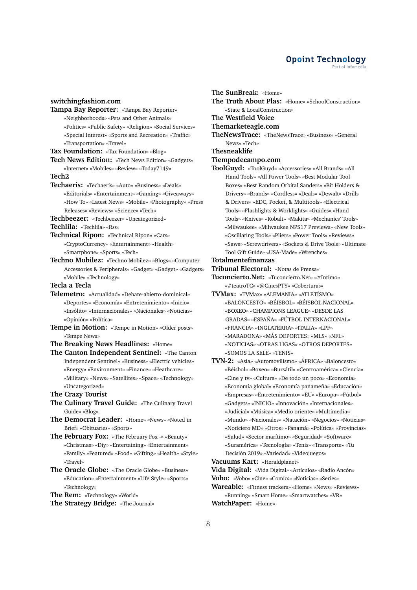# **switchingfashion.com**

- **Tampa Bay Reporter:** «Tampa Bay Reporter» «Neighborhoods» «Pets and Other Animals» «Politics» «Public Safety» «Religion» «Social Services» «Special Interest» «Sports and Recreation» «Traffic» «Transportation» «Travel»
- **Tax Foundation:** «Tax Foundation» «Blog»
- **Tech News Edition:** «Tech News Edition» «Gadgets» «Internet» «Mobiles» «Review» «Today7149»

#### **Tech2**

- **Techaeris:** «Techaeris» «Auto» «Business» «Deals» «Editorials» «Entertainment» «Gaming» «Giveaways» «How To» «Latest News» «Mobile» «Photography» «Press Releases» «Reviews» «Science» «Tech»
- **Techbeezer:** «Techbeezer» «Uncategorized»
- **Techlila:** «Techlila» «Rss»
- **Technical Ripon:** «Technical Ripon» «Cars» «CryptoCurrency» «Entertainment» «Health» «Smartphone» «Sports» «Tech»
- **Techno Mobilez:** «Techno Mobilez» «Blogs» «Computer Accessories & Peripherals» «Gadget» «Gadget» «Gadgets» «Mobile» «Technology»
- **Tecla a Tecla**
- **Telemetro:** «Actualidad» «Debate-abierto-dominical» «Deportes» «Economía» «Entretenimiento» «Inicio» «Insólito» «Internacionales» «Nacionales» «Noticias» «Opinión» «Política»
- **Tempe in Motion:** «Tempe in Motion» «Older posts» «Tempe News»
- **The Breaking News Headlines:** «Home»
- **The Canton Independent Sentinel:** «The Canton Independent Sentinel» «Business» «Electric vehicles» «Energy» «Environment» «Finance» «Heathcare» «Military» «News» «Satellites» «Space» «Technology» «Uncategorized»
- **The Crazy Tourist**
- **The Culinary Travel Guide:** «The Culinary Travel Guide» «Blog»
- **The Democrat Leader:** «Home» «News» «Noted in Brief» «Obituaries» «Sports»
- **The February Fox:** «The February Fox -» «Beauty» «Christmas» «Diy» «Entertaining» «Entertainment» «Family» «Featured» «Food» «Gifting» «Health» «Style» «Travel»
- **The Oracle Globe:** «The Oracle Globe» «Business» «Education» «Entertainment» «Life Style» «Sports» «Technology»
- **The Rem:** «Technology» «World»
- **The Strategy Bridge:** «The Journal»

**The SunBreak:** «Home» **The Truth About Plas:** «Home» «SchoolConstruction» «State & LocalConstruction»

**The Westfield Voice**

**Themarketeagle.com**

**TheNewsTrace:** «TheNewsTrace» «Business» «General News» «Tech»

#### **Thesneaklife**

- **Tiempodecampo.com**
- **ToolGuyd:** «ToolGuyd» «Accessories» «All Brands» «All Hand Tools» «All Power Tools» «Best Modular Tool Boxes» «Best Random Orbital Sanders» «Bit Holders & Drivers» «Brands» «Cordless» «Deals» «Dewalt» «Drills & Drivers» «EDC, Pocket, & Multitools» «Electrical Tools» «Flashlights & Worklights» «Guides» «Hand Tools» «Knives» «Kobalt» «Makita» «Mechanics' Tools» «Milwaukee» «Milwaukee NPS17 Previews» «New Tools» «Oscillating Tools» «Pliers» «Power Tools» «Reviews» «Saws» «Screwdrivers» «Sockets & Drive Tools» «Ultimate Tool Gift Guide» «USA-Made» «Wrenches»

# **Totalmentefinanzas**

- **Tribunal Electoral:** «Notas de Prensa»
- **Tuconcierto.Net:** «Tuconcierto.Net» «#Intimo» «#teatroTC» «@CinesPTY» «Coberturas»
- **TVMax:** «TVMax» «ALEMANIA» «ATLETÍSMO» «BALONCESTO» «BÉISBOL» «BÉISBOL NACIONAL» «BOXEO» «CHAMPIONS LEAGUE» «DESDE LAS GRADAS» «ESPAÑA» «FÚTBOL INTERNACIONAL» «FRANCIA» «INGLATERRA» «ITALIA» «LPF» «MARADONA» «MÁS DEPORTES» «MLS» «NFL» «NOTICIAS» «OTRAS LIGAS» «OTROS DEPORTES» «SOMOS LA SELE» «TENIS»
- **TVN-2:** «Asia» «Automovilismo» «ÁFRICA» «Baloncesto» «Béisbol» «Boxeo» «Bursátil» «Centroamérica» «Ciencia» «Cine y tv» «Cultura» «De todo un poco» «Economía» «Economía global» «Economía panameña» «Educación» «Empresas» «Entretenimiento» «EU» «Europa» «Fútbol» «Gadgets» «INICIO» «Innovación» «Internacionales» «Judicial» «Música» «Medio oriente» «Multimedia» «Mundo» «Nacionales» «Natación» «Negocios» «Noticias» «Noticiero MD» «Otros» «Panamá» «Política» «Provincias» «Salud» «Sector marítimo» «Seguridad» «Software» «Suramérica» «Tecnología» «Tenis» «Transporte» «Tu Decisión 2019» «Variedad» «Videojuegos»

**Vacuums Kart:** «Heraldplanet»

**Vida Digital:** «Vida Digital» «Artículos» «Radio Ancón»

- **Vobo:** «Vobo» «Cine» «Comics» «Noticias» «Series»
- **Wareable:** «Fitness trackers» «Home» «News» «Reviews» «Running» «Smart Home» «Smartwatches» «VR»

**WatchPaper:** «Home»